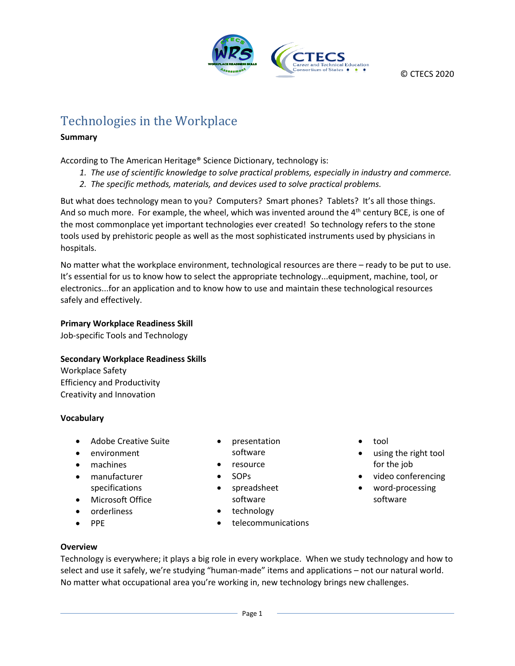

# Technologies in the Workplace

#### **Summary**

According to The American Heritage® Science Dictionary, technology is:

- *1. The use of scientific knowledge to solve practical problems, especially in industry and commerce.*
- *2. The specific methods, materials, and devices used to solve practical problems.*

But what does technology mean to you? Computers? Smart phones? Tablets? It's all those things. And so much more. For example, the wheel, which was invented around the  $4<sup>th</sup>$  century BCE, is one of the most commonplace yet important technologies ever created! So technology refers to the stone tools used by prehistoric people as well as the most sophisticated instruments used by physicians in hospitals.

No matter what the workplace environment, technological resources are there – ready to be put to use. It's essential for us to know how to select the appropriate technology...equipment, machine, tool, or electronics...for an application and to know how to use and maintain these technological resources safely and effectively.

#### **Primary Workplace Readiness Skill**

Job-specific Tools and Technology

## **Secondary Workplace Readiness Skills**

Workplace Safety Efficiency and Productivity Creativity and Innovation

## **Vocabulary**

- Adobe Creative Suite
- environment
- machines
- manufacturer specifications
- Microsoft Office
- orderliness
- PPE
- presentation software
- resource
- SOPs
- spreadsheet software
- technology
- telecommunications
- tool
- using the right tool for the job
- video conferencing
- word-processing software

**Overview**

Technology is everywhere; it plays a big role in every workplace. When we study technology and how to select and use it safely, we're studying "human-made" items and applications – not our natural world. No matter what occupational area you're working in, new technology brings new challenges.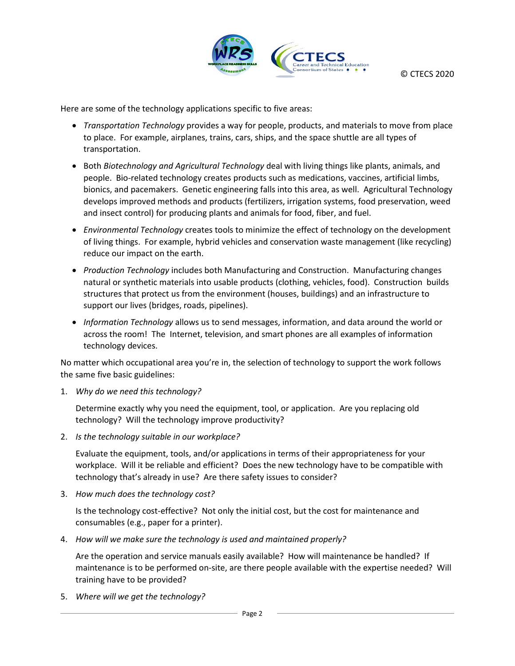

Here are some of the technology applications specific to five areas:

- *Transportation Technology* provides a way for people, products, and materials to move from place to place. For example, airplanes, trains, cars, ships, and the space shuttle are all types of transportation.
- Both *Biotechnology and Agricultural Technology* deal with living things like plants, animals, and people. Bio-related technology creates products such as medications, vaccines, artificial limbs, bionics, and pacemakers. Genetic engineering falls into this area, as well. Agricultural Technology develops improved methods and products (fertilizers, irrigation systems, food preservation, weed and insect control) for producing plants and animals for food, fiber, and fuel.
- *Environmental Technology* creates tools to minimize the effect of technology on the development of living things. For example, hybrid vehicles and conservation waste management (like recycling) reduce our impact on the earth.
- *Production Technology* includes both Manufacturing and Construction. Manufacturing changes natural or synthetic materials into usable products (clothing, vehicles, food). Construction builds structures that protect us from the environment (houses, buildings) and an infrastructure to support our lives (bridges, roads, pipelines).
- *Information Technology* allows us to send messages, information, and data around the world or across the room! The Internet, television, and smart phones are all examples of information technology devices.

No matter which occupational area you're in, the selection of technology to support the work follows the same five basic guidelines:

1. *Why do we need this technology?*

Determine exactly why you need the equipment, tool, or application. Are you replacing old technology? Will the technology improve productivity?

2. *Is the technology suitable in our workplace?*

Evaluate the equipment, tools, and/or applications in terms of their appropriateness for your workplace. Will it be reliable and efficient? Does the new technology have to be compatible with technology that's already in use? Are there safety issues to consider?

3. *How much does the technology cost?*

Is the technology cost-effective? Not only the initial cost, but the cost for maintenance and consumables (e.g., paper for a printer).

4. *How will we make sure the technology is used and maintained properly?*

Are the operation and service manuals easily available? How will maintenance be handled? If maintenance is to be performed on-site, are there people available with the expertise needed? Will training have to be provided?

5. *Where will we get the technology?*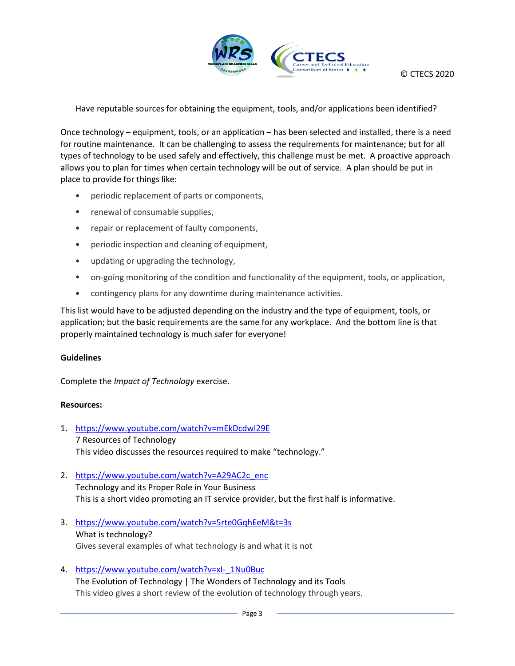

Have reputable sources for obtaining the equipment, tools, and/or applications been identified?

Once technology – equipment, tools, or an application – has been selected and installed, there is a need for routine maintenance. It can be challenging to assess the requirements for maintenance; but for all types of technology to be used safely and effectively, this challenge must be met. A proactive approach allows you to plan for times when certain technology will be out of service. A plan should be put in place to provide for things like:

- periodic replacement of parts or components,
- renewal of consumable supplies,
- repair or replacement of faulty components,
- periodic inspection and cleaning of equipment,
- updating or upgrading the technology,
- on-going monitoring of the condition and functionality of the equipment, tools, or application,
- contingency plans for any downtime during maintenance activities.

This list would have to be adjusted depending on the industry and the type of equipment, tools, or application; but the basic requirements are the same for any workplace. And the bottom line is that properly maintained technology is much safer for everyone!

#### **Guidelines**

Complete the *Impact of Technology* exercise.

#### **Resources:**

- 1. <https://www.youtube.com/watch?v=mEkDcdwI29E> 7 Resources of Technology This video discusses the resources required to make "technology."
- 2. [https://www.youtube.com/watch?v=A29AC2c\\_enc](https://www.youtube.com/watch?v=A29AC2c_enc) Technology and its Proper Role in Your Business This is a short video promoting an IT service provider, but the first half is informative.
- 3. <https://www.youtube.com/watch?v=5rte0GqhEeM&t=3s> What is technology? Gives several examples of what technology is and what it is not
- 4. [https://www.youtube.com/watch?v=xI-\\_1Nu0Buc](https://www.youtube.com/watch?v=xI-_1Nu0Buc) The Evolution of Technology | The Wonders of Technology and its Tools This video gives a short review of the evolution of technology through years.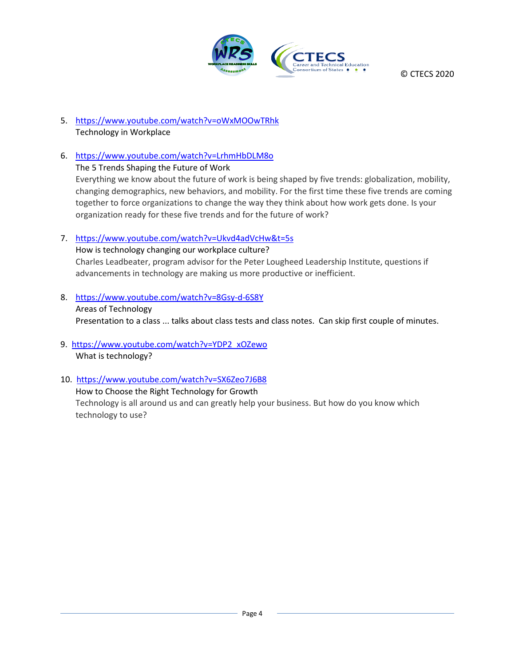

© CTECS 2020

- 5. <https://www.youtube.com/watch?v=oWxMOOwTRhk> Technology in Workplace
- 6. <https://www.youtube.com/watch?v=LrhmHbDLM8o> The 5 Trends Shaping the Future of Work Everything we know about the future of work is being shaped by five trends: globalization, mobility, changing demographics, new behaviors, and mobility. For the first time these five trends are coming together to force organizations to change the way they think about how work gets done. Is your organization ready for these five trends and for the future of work?
- 7. <https://www.youtube.com/watch?v=Ukvd4adVcHw&t=5s>

How is technology changing our workplace culture? Charles Leadbeater, program advisor for the Peter Lougheed Leadership Institute, questions if advancements in technology are making us more productive or inefficient.

8. <https://www.youtube.com/watch?v=8Gsy-d-6S8Y>

Areas of Technology Presentation to a class ... talks about class tests and class notes. Can skip first couple of minutes.

- 9. [https://www.youtube.com/watch?v=YDP2\\_xOZewo](https://www.youtube.com/watch?v=YDP2_xOZewo) What is technology?
- 10. [https://www.youtube.com/watch?v=SX6Zeo7J6B8](https://www.youtube.com/watch?v=SX6Zeo7J6B8%20)

How to Choose the Right Technology for Growth Technology is all around us and can greatly help your business. But how do you know which technology to use?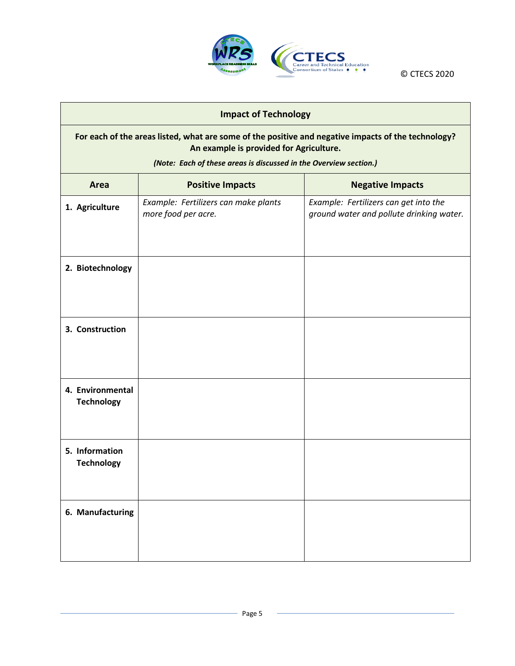

**Impact of Technology**

© CTECS 2020

# **For each of the areas listed, what are some of the positive and negative impacts of the technology? An example is provided for Agriculture.** *(Note: Each of these areas is discussed in the Overview section.)* **Area Positive Impacts Negative Impacts 1. Agriculture** *Example: Fertilizers can make plants more food per acre. Example: Fertilizers can get into the ground water and pollute drinking water.* **2. Biotechnology 3. Construction 4. Environmental Technology 5. Information Technology 6. Manufacturing**